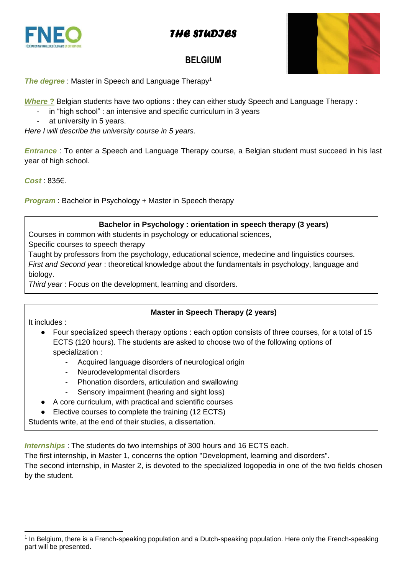



## **BELGIUM**



**The degree**: Master in Speech and Language Therapy<sup>1</sup>

*Where* **?** Belgian students have two options : they can either study Speech and Language Therapy :

- in "high school" : an intensive and specific curriculum in 3 years
- at university in 5 years.

*Here I will describe the university course in 5 years.*

*Entrance* : To enter a Speech and Language Therapy course, a Belgian student must succeed in his last year of high school.

### *Cost* : 835€.

*Program* : Bachelor in Psychology + Master in Speech therapy

### **Bachelor in Psychology : orientation in speech therapy (3 years)**

Courses in common with students in psychology or educational sciences,

Specific courses to speech therapy

Taught by professors from the psychology, educational science, medecine and linguistics courses. *First and Second year* : theoretical knowledge about the fundamentals in psychology, language and biology.

*Third year* : Focus on the development, learning and disorders.

## **Master in Speech Therapy (2 years)**

It includes :

- Four specialized speech therapy options : each option consists of three courses, for a total of 15 ECTS (120 hours). The students are asked to choose two of the following options of specialization :
	- Acquired language disorders of neurological origin
	- Neurodevelopmental disorders
	- Phonation disorders, articulation and swallowing
	- Sensory impairment (hearing and sight loss)
- A core curriculum, with practical and scientific courses
- Elective courses to complete the training (12 ECTS)

Students write, at the end of their studies, a dissertation.

*Internships* : The students do two internships of 300 hours and 16 ECTS each.

The first internship, in Master 1, concerns the option "Development, learning and disorders".

The second internship, in Master 2, is devoted to the specialized logopedia in one of the two fields chosen by the student.

<sup>&</sup>lt;sup>1</sup> In Belgium, there is a French-speaking population and a Dutch-speaking population. Here only the French-speaking part will be presented.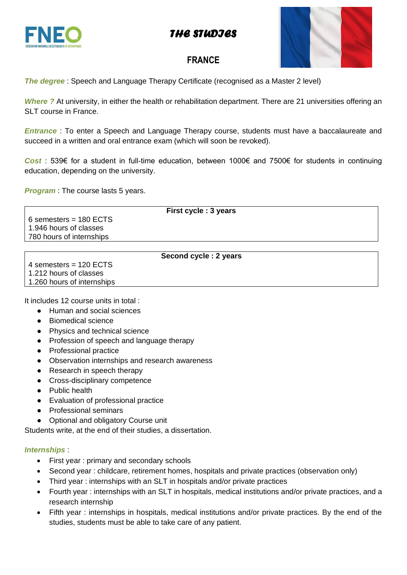## *THE STUDIES*





## **FRANCE**

**The degree**: Speech and Language Therapy Certificate (recognised as a Master 2 level)

*Where ?* At university, in either the health or rehabilitation department. There are 21 universities offering an SLT course in France.

*Entrance* : To enter a Speech and Language Therapy course, students must have a baccalaureate and succeed in a written and oral entrance exam (which will soon be revoked).

*Cost* : 539€ for a student in full-time education, between 1000€ and 7500€ for students in continuing education, depending on the university.

*Program* : The course lasts 5 years.

**First cycle : 3 years** 6 semesters = 180 ECTS 1.946 hours of classes 780 hours of internships

| Second cycle: 2 years      |  |
|----------------------------|--|
| 4 semesters = $120$ ECTS   |  |
| 1.212 hours of classes     |  |
| 1.260 hours of internships |  |

It includes 12 course units in total :

- Human and social sciences
- Biomedical science
- Physics and technical science
- Profession of speech and language therapy
- Professional practice
- Observation internships and research awareness
- Research in speech therapy
- Cross-disciplinary competence
- Public health
- Evaluation of professional practice
- Professional seminars
- Optional and obligatory Course unit

Students write, at the end of their studies, a dissertation.

### *Internships* :

- First year : primary and secondary schools
- Second year : childcare, retirement homes, hospitals and private practices (observation only)
- Third year : internships with an SLT in hospitals and/or private practices
- Fourth year : internships with an SLT in hospitals, medical institutions and/or private practices, and a research internship
- Fifth year : internships in hospitals, medical institutions and/or private practices. By the end of the studies, students must be able to take care of any patient.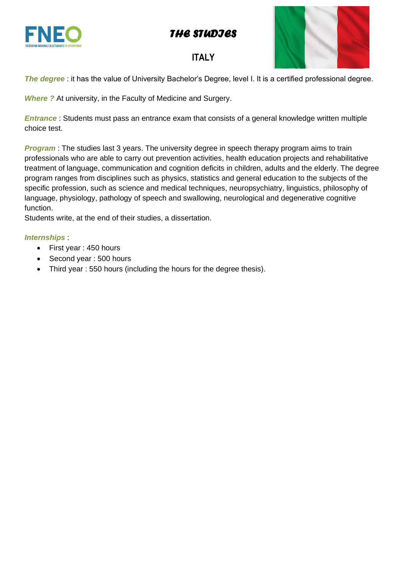*THE STUDIES* 





## **ITALY**

*The degree* : it has the value of University Bachelor's Degree, level I. It is a certified professional degree.

*Where ?* At university, in the Faculty of Medicine and Surgery.

*Entrance* : Students must pass an entrance exam that consists of a general knowledge written multiple choice test.

*Program*: The studies last 3 years. The university degree in speech therapy program aims to train professionals who are able to carry out prevention activities, health education projects and rehabilitative treatment of language, communication and cognition deficits in children, adults and the elderly. The degree program ranges from disciplines such as physics, statistics and general education to the subjects of the specific profession, such as science and medical techniques, neuropsychiatry, linguistics, philosophy of language, physiology, pathology of speech and swallowing, neurological and degenerative cognitive function.

Students write, at the end of their studies, a dissertation.

## *Internships* :

- First year : 450 hours
- Second year: 500 hours
- Third year : 550 hours (including the hours for the degree thesis).